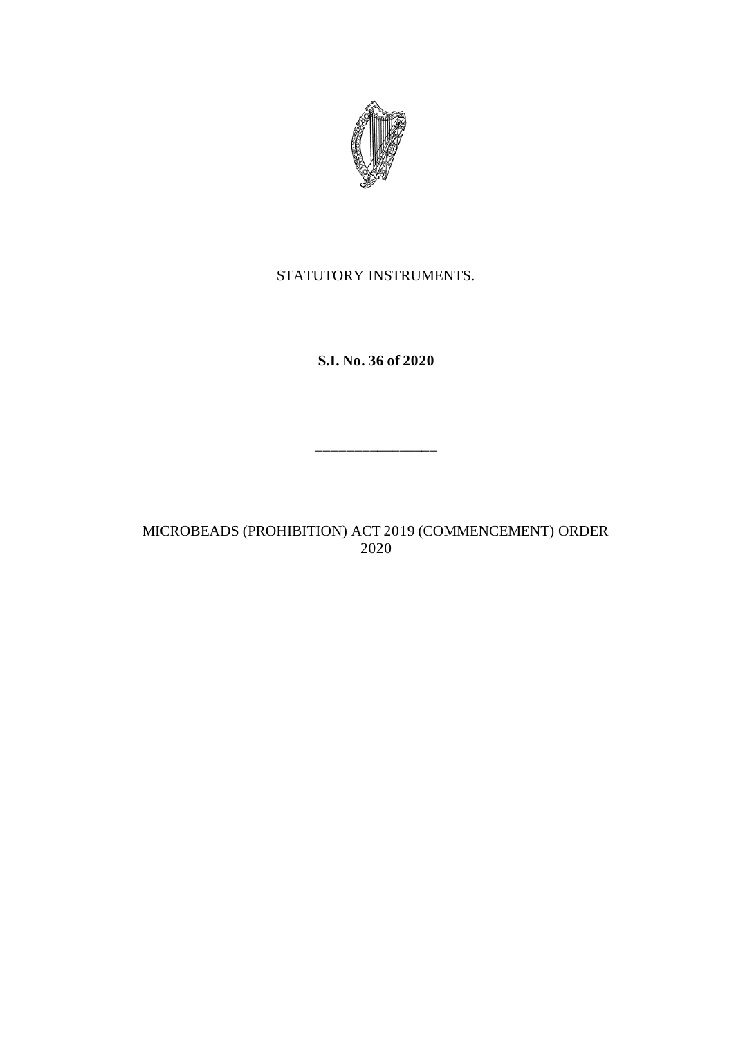

# STATUTORY INSTRUMENTS.

**S.I. No. 36 of 2020**

\_\_\_\_\_\_\_\_\_\_\_\_\_\_\_\_

MICROBEADS (PROHIBITION) ACT 2019 (COMMENCEMENT) ORDER 2020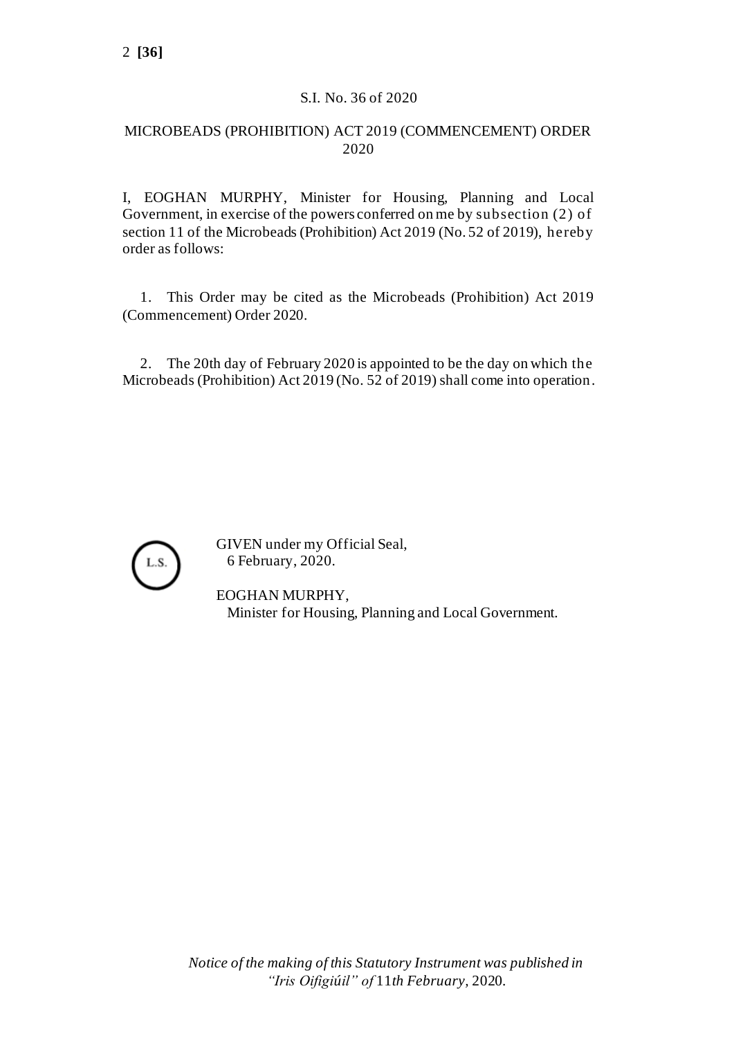### S.I. No. 36 of 2020

### MICROBEADS (PROHIBITION) ACT 2019 (COMMENCEMENT) ORDER 2020

I, EOGHAN MURPHY, Minister for Housing, Planning and Local Government, in exercise of the powers conferred on me by subsection (2) of section 11 of the Microbeads (Prohibition) Act 2019 (No. 52 of 2019), hereby order as follows:

1. This Order may be cited as the Microbeads (Prohibition) Act 2019 (Commencement) Order 2020.

2. The 20th day of February 2020 is appointed to be the day on which the Microbeads (Prohibition) Act 2019 (No. 52 of 2019) shall come into operation.



GIVEN under my Official Seal, 6 February, 2020.

EOGHAN MURPHY, Minister for Housing, Planning and Local Government.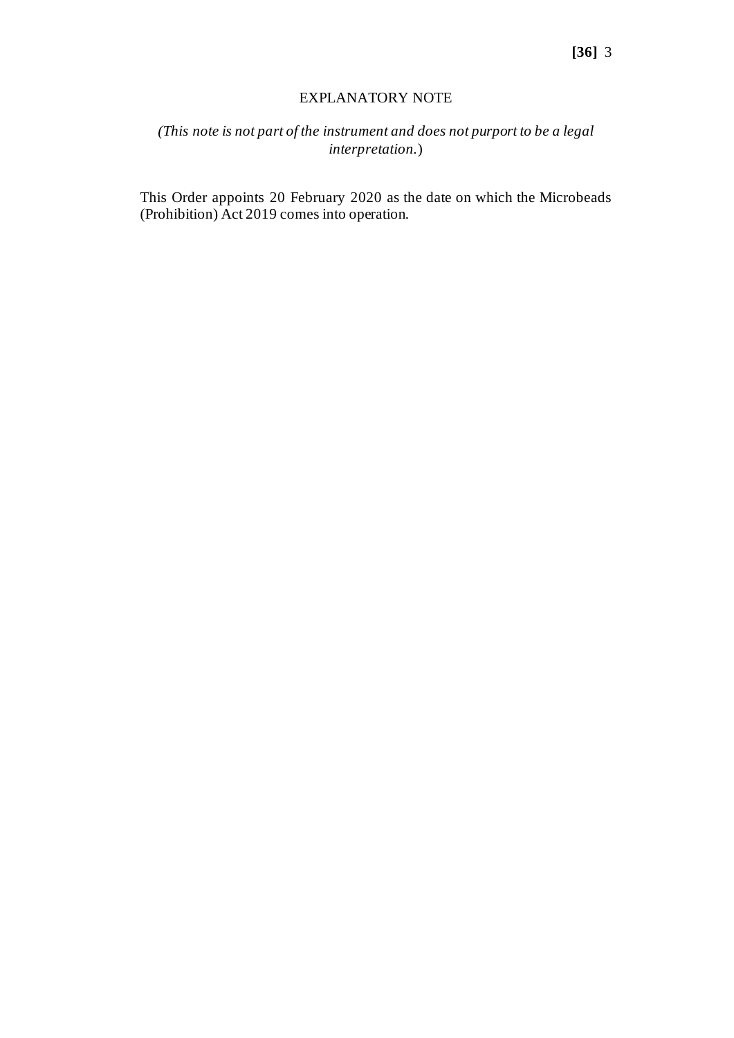#### EXPLANATORY NOTE

## *(This note is not part of the instrument and does not purport to be a legal interpretation.*)

This Order appoints 20 February 2020 as the date on which the Microbeads (Prohibition) Act 2019 comes into operation.